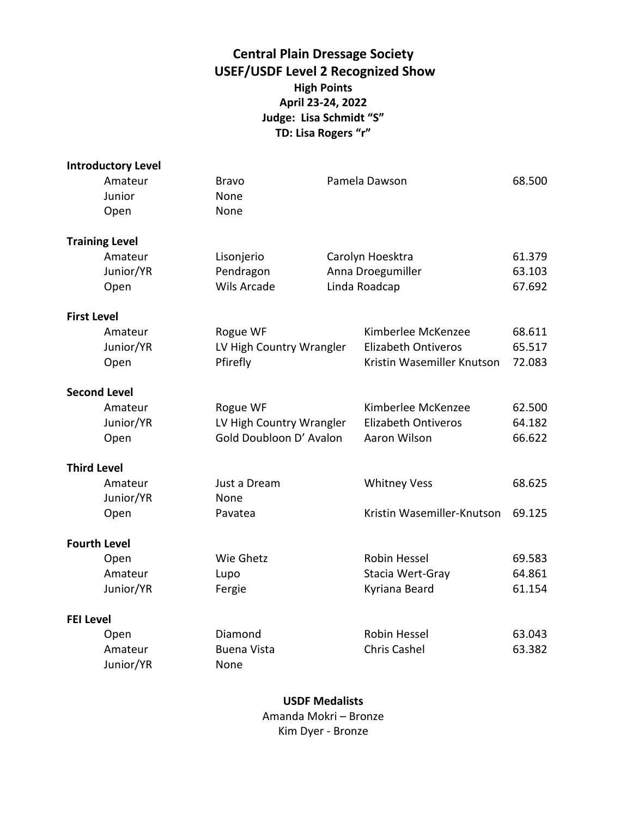### **Central Plain Dressage Society USEF/USDF Level 2 Recognized Show High Points April 23-24, 2022 Judge: Lisa Schmidt "S" TD: Lisa Rogers "r"**

|                    | <b>Introductory Level</b> |                          |                            |        |
|--------------------|---------------------------|--------------------------|----------------------------|--------|
|                    | Amateur                   | <b>Bravo</b>             | Pamela Dawson              | 68.500 |
|                    | Junior                    | None                     |                            |        |
|                    | Open                      | None                     |                            |        |
|                    | <b>Training Level</b>     |                          |                            |        |
|                    | Amateur                   | Lisonjerio               | Carolyn Hoesktra           | 61.379 |
|                    | Junior/YR                 | Pendragon                | Anna Droegumiller          | 63.103 |
|                    | Open                      | <b>Wils Arcade</b>       | Linda Roadcap              | 67.692 |
| <b>First Level</b> |                           |                          |                            |        |
|                    | Amateur                   | Rogue WF                 | Kimberlee McKenzee         | 68.611 |
|                    | Junior/YR                 | LV High Country Wrangler | <b>Elizabeth Ontiveros</b> | 65.517 |
|                    | Open                      | Pfirefly                 | Kristin Wasemiller Knutson | 72.083 |
|                    | <b>Second Level</b>       |                          |                            |        |
|                    | Amateur                   | Rogue WF                 | Kimberlee McKenzee         | 62.500 |
|                    | Junior/YR                 | LV High Country Wrangler | <b>Elizabeth Ontiveros</b> | 64.182 |
|                    | Open                      | Gold Doubloon D' Avalon  | Aaron Wilson               | 66.622 |
| <b>Third Level</b> |                           |                          |                            |        |
|                    | Amateur                   | Just a Dream             | <b>Whitney Vess</b>        | 68.625 |
|                    | Junior/YR                 | None                     |                            |        |
|                    | Open                      | Pavatea                  | Kristin Wasemiller-Knutson | 69.125 |
|                    | <b>Fourth Level</b>       |                          |                            |        |
|                    | Open                      | Wie Ghetz                | Robin Hessel               | 69.583 |
|                    | Amateur                   | Lupo                     | Stacia Wert-Gray           | 64.861 |
|                    | Junior/YR                 | Fergie                   | Kyriana Beard              | 61.154 |
| <b>FEI Level</b>   |                           |                          |                            |        |
|                    | Open                      | Diamond                  | Robin Hessel               | 63.043 |
|                    | Amateur                   | <b>Buena Vista</b>       | <b>Chris Cashel</b>        | 63.382 |
|                    | Junior/YR                 | None                     |                            |        |

**USDF Medalists** Amanda Mokri – Bronze Kim Dyer - Bronze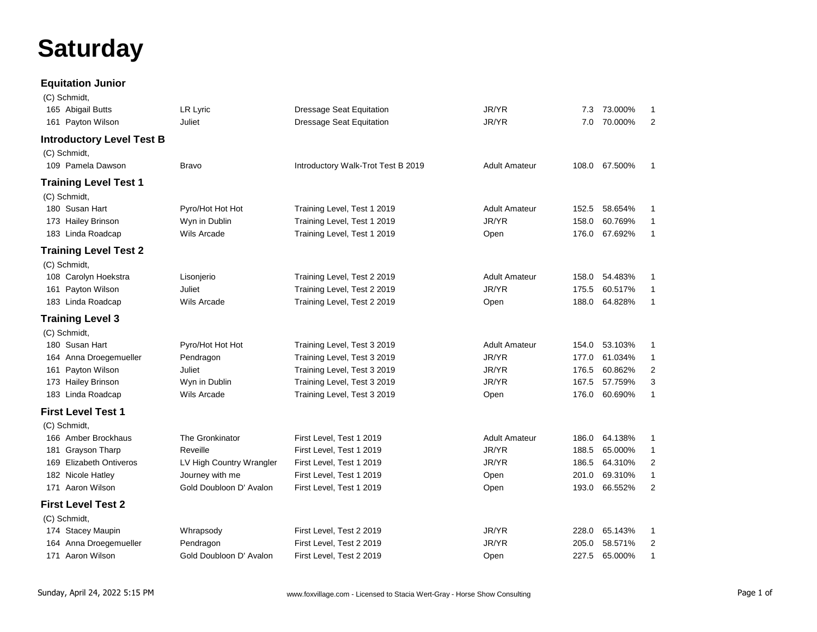# **Saturday**

#### **Equitation Junior**

| (C) Schmidt,                     |                          |                                    |                      |       |               |                |
|----------------------------------|--------------------------|------------------------------------|----------------------|-------|---------------|----------------|
| 165 Abigail Butts                | LR Lyric                 | <b>Dressage Seat Equitation</b>    | JR/YR                | 7.3   | 73.000%       | $\mathbf{1}$   |
| 161 Payton Wilson                | Juliet                   | <b>Dressage Seat Equitation</b>    | JR/YR                | 7.0   | 70.000%       | 2              |
| <b>Introductory Level Test B</b> |                          |                                    |                      |       |               |                |
| (C) Schmidt,                     |                          |                                    |                      |       |               |                |
| 109 Pamela Dawson                | <b>Bravo</b>             | Introductory Walk-Trot Test B 2019 | <b>Adult Amateur</b> |       | 108.0 67.500% | $\mathbf{1}$   |
| <b>Training Level Test 1</b>     |                          |                                    |                      |       |               |                |
| (C) Schmidt,                     |                          |                                    |                      |       |               |                |
| 180 Susan Hart                   | Pyro/Hot Hot Hot         | Training Level, Test 1 2019        | <b>Adult Amateur</b> | 152.5 | 58.654%       | $\mathbf{1}$   |
| 173 Hailey Brinson               | Wyn in Dublin            | Training Level, Test 1 2019        | JR/YR                | 158.0 | 60.769%       | $\mathbf{1}$   |
| 183 Linda Roadcap                | Wils Arcade              | Training Level, Test 1 2019        | Open                 | 176.0 | 67.692%       | $\mathbf{1}$   |
|                                  |                          |                                    |                      |       |               |                |
| <b>Training Level Test 2</b>     |                          |                                    |                      |       |               |                |
| (C) Schmidt,                     |                          |                                    |                      |       |               |                |
| 108 Carolyn Hoekstra             | Lisonjerio               | Training Level, Test 2 2019        | <b>Adult Amateur</b> | 158.0 | 54.483%       | 1              |
| 161 Payton Wilson                | Juliet                   | Training Level, Test 2 2019        | JR/YR                | 175.5 | 60.517%       | $\mathbf{1}$   |
| 183 Linda Roadcap                | Wils Arcade              | Training Level, Test 2 2019        | Open                 | 188.0 | 64.828%       | $\mathbf{1}$   |
| <b>Training Level 3</b>          |                          |                                    |                      |       |               |                |
| (C) Schmidt,                     |                          |                                    |                      |       |               |                |
| 180 Susan Hart                   | Pyro/Hot Hot Hot         | Training Level, Test 3 2019        | <b>Adult Amateur</b> | 154.0 | 53.103%       | 1              |
| 164 Anna Droegemueller           | Pendragon                | Training Level, Test 3 2019        | JR/YR                | 177.0 | 61.034%       | $\mathbf{1}$   |
| 161 Payton Wilson                | Juliet                   | Training Level, Test 3 2019        | JR/YR                | 176.5 | 60.862%       | 2              |
| 173 Hailey Brinson               | Wyn in Dublin            | Training Level, Test 3 2019        | JR/YR                | 167.5 | 57.759%       | 3              |
| 183 Linda Roadcap                | Wils Arcade              | Training Level, Test 3 2019        | Open                 | 176.0 | 60.690%       | $\mathbf{1}$   |
| <b>First Level Test 1</b>        |                          |                                    |                      |       |               |                |
| (C) Schmidt,                     |                          |                                    |                      |       |               |                |
| 166 Amber Brockhaus              | The Gronkinator          | First Level, Test 1 2019           | <b>Adult Amateur</b> | 186.0 | 64.138%       | 1              |
| 181 Grayson Tharp                | Reveille                 | First Level, Test 1 2019           | JR/YR                | 188.5 | 65.000%       | $\mathbf{1}$   |
| 169 Elizabeth Ontiveros          | LV High Country Wrangler | First Level, Test 1 2019           | JR/YR                | 186.5 | 64.310%       | 2              |
| 182 Nicole Hatley                | Journey with me          | First Level, Test 1 2019           | Open                 | 201.0 | 69.310%       | $\mathbf{1}$   |
| 171 Aaron Wilson                 | Gold Doubloon D' Avalon  | First Level, Test 1 2019           | Open                 | 193.0 | 66.552%       | $\overline{2}$ |
| <b>First Level Test 2</b>        |                          |                                    |                      |       |               |                |
| (C) Schmidt,                     |                          |                                    |                      |       |               |                |
| 174 Stacey Maupin                | Whrapsody                | First Level, Test 2 2019           | JR/YR                | 228.0 | 65.143%       | $\mathbf{1}$   |
| 164 Anna Droegemueller           | Pendragon                | First Level, Test 2 2019           | JR/YR                | 205.0 | 58.571%       | 2              |
| 171 Aaron Wilson                 | Gold Doubloon D' Avalon  | First Level, Test 2 2019           | Open                 | 227.5 | 65.000%       | $\mathbf{1}$   |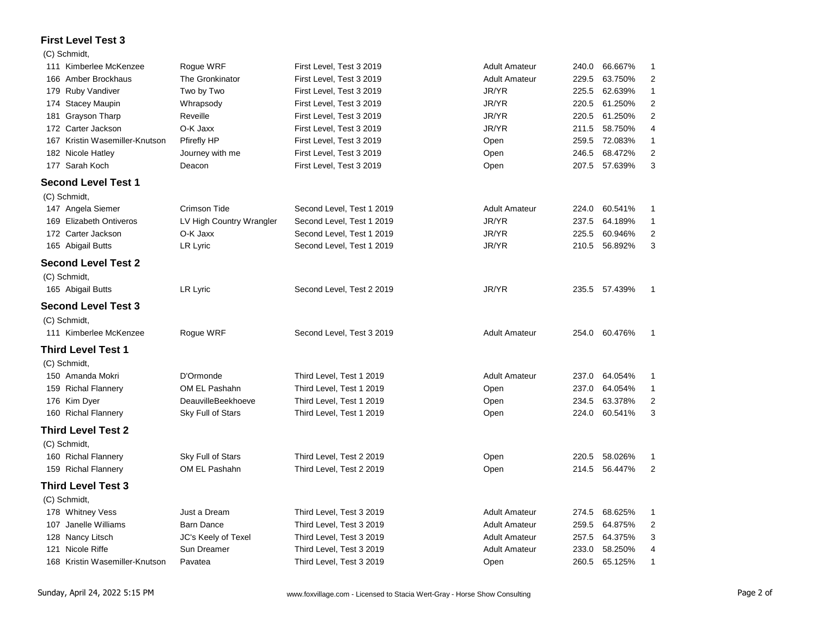### **First Level Test 3**

#### (C) Schmidt,

| 111 Kimberlee McKenzee         | Rogue WRF                | First Level, Test 3 2019  | <b>Adult Amateur</b> | 240.0 | 66.667% | 1                       |
|--------------------------------|--------------------------|---------------------------|----------------------|-------|---------|-------------------------|
| 166 Amber Brockhaus            | The Gronkinator          | First Level, Test 3 2019  | <b>Adult Amateur</b> | 229.5 | 63.750% | $\overline{\mathbf{c}}$ |
| 179 Ruby Vandiver              | Two by Two               | First Level, Test 3 2019  | JR/YR                | 225.5 | 62.639% | $\mathbf{1}$            |
| 174 Stacey Maupin              | Whrapsody                | First Level, Test 3 2019  | JR/YR                | 220.5 | 61.250% | $\mathbf 2$             |
| 181 Grayson Tharp              | Reveille                 | First Level, Test 3 2019  | JR/YR                | 220.5 | 61.250% | $\mathbf 2$             |
| 172 Carter Jackson             | O-K Jaxx                 | First Level, Test 3 2019  | JR/YR                | 211.5 | 58.750% | 4                       |
| 167 Kristin Wasemiller-Knutson | Pfirefly HP              | First Level, Test 3 2019  | Open                 | 259.5 | 72.083% | 1                       |
| 182 Nicole Hatley              | Journey with me          | First Level, Test 3 2019  | Open                 | 246.5 | 68.472% | $\mathbf 2$             |
| 177 Sarah Koch                 | Deacon                   | First Level, Test 3 2019  | Open                 | 207.5 | 57.639% | 3                       |
| <b>Second Level Test 1</b>     |                          |                           |                      |       |         |                         |
| (C) Schmidt,                   |                          |                           |                      |       |         |                         |
| 147 Angela Siemer              | Crimson Tide             | Second Level, Test 1 2019 | <b>Adult Amateur</b> | 224.0 | 60.541% | 1                       |
| 169 Elizabeth Ontiveros        | LV High Country Wrangler | Second Level, Test 1 2019 | JR/YR                | 237.5 | 64.189% | $\mathbf{1}$            |
| 172 Carter Jackson             | O-K Jaxx                 | Second Level, Test 1 2019 | JR/YR                | 225.5 | 60.946% | $\mathbf 2$             |
| 165 Abigail Butts              | LR Lyric                 | Second Level, Test 1 2019 | JR/YR                | 210.5 | 56.892% | 3                       |
| <b>Second Level Test 2</b>     |                          |                           |                      |       |         |                         |
| (C) Schmidt,                   |                          |                           |                      |       |         |                         |
| 165 Abigail Butts              | LR Lyric                 | Second Level, Test 2 2019 | JR/YR                | 235.5 | 57.439% | $\mathbf{1}$            |
| <b>Second Level Test 3</b>     |                          |                           |                      |       |         |                         |
| (C) Schmidt,                   |                          |                           |                      |       |         |                         |
| 111 Kimberlee McKenzee         | Rogue WRF                | Second Level, Test 3 2019 | <b>Adult Amateur</b> | 254.0 | 60.476% | 1                       |
| Third Level Test 1             |                          |                           |                      |       |         |                         |
| (C) Schmidt,                   |                          |                           |                      |       |         |                         |
| 150 Amanda Mokri               | D'Ormonde                | Third Level, Test 1 2019  | <b>Adult Amateur</b> | 237.0 | 64.054% | 1                       |
| 159 Richal Flannery            | OM EL Pashahn            | Third Level, Test 1 2019  | Open                 | 237.0 | 64.054% | 1                       |
| 176 Kim Dyer                   | DeauvilleBeekhoeve       | Third Level, Test 1 2019  | Open                 | 234.5 | 63.378% | 2                       |
| 160 Richal Flannery            | Sky Full of Stars        | Third Level, Test 1 2019  | Open                 | 224.0 | 60.541% | 3                       |
| <b>Third Level Test 2</b>      |                          |                           |                      |       |         |                         |
| (C) Schmidt,                   |                          |                           |                      |       |         |                         |
| 160 Richal Flannery            | Sky Full of Stars        | Third Level, Test 2 2019  | Open                 | 220.5 | 58.026% | 1                       |
| 159 Richal Flannery            | OM EL Pashahn            | Third Level, Test 2 2019  | Open                 | 214.5 | 56.447% | $\overline{2}$          |
| <b>Third Level Test 3</b>      |                          |                           |                      |       |         |                         |
| (C) Schmidt,                   |                          |                           |                      |       |         |                         |
| 178 Whitney Vess               | Just a Dream             | Third Level, Test 3 2019  | <b>Adult Amateur</b> | 274.5 | 68.625% | $\mathbf{1}$            |
| 107 Janelle Williams           | <b>Barn Dance</b>        | Third Level, Test 3 2019  | <b>Adult Amateur</b> | 259.5 | 64.875% | $\overline{\mathbf{c}}$ |
| 128 Nancy Litsch               | JC's Keely of Texel      | Third Level, Test 3 2019  | <b>Adult Amateur</b> | 257.5 | 64.375% | 3                       |
| 121 Nicole Riffe               | Sun Dreamer              | Third Level, Test 3 2019  | <b>Adult Amateur</b> | 233.0 | 58.250% | 4                       |
| 168 Kristin Wasemiller-Knutson | Pavatea                  | Third Level, Test 3 2019  | Open                 | 260.5 | 65.125% | 1                       |
|                                |                          |                           |                      |       |         |                         |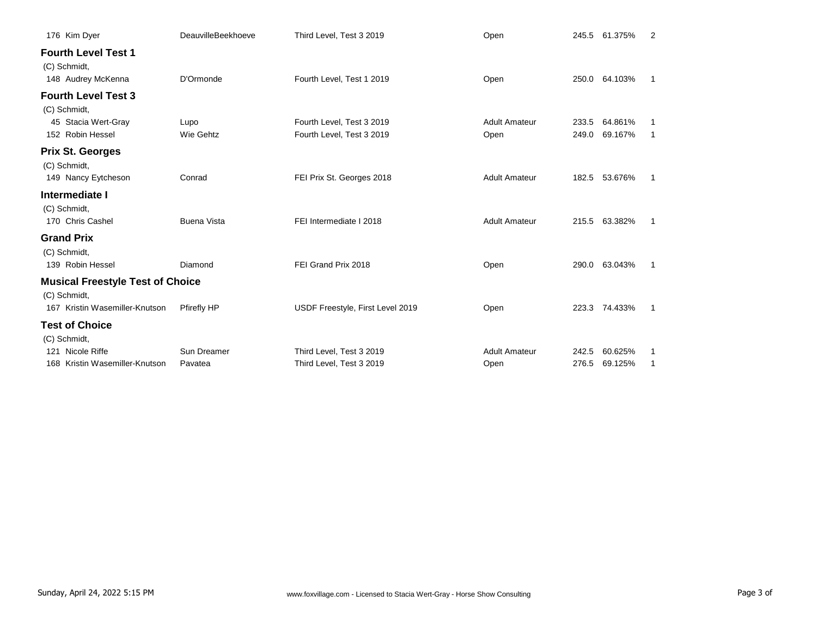| 176 Kim Dyer                                                     | <b>DeauvilleBeekhoeve</b> | Third Level, Test 3 2019         | Open                 |       | 245.5 61.375% | 2  |
|------------------------------------------------------------------|---------------------------|----------------------------------|----------------------|-------|---------------|----|
| <b>Fourth Level Test 1</b><br>(C) Schmidt,<br>148 Audrey McKenna | D'Ormonde                 | Fourth Level, Test 1 2019        | Open                 | 250.0 | 64.103%       | 1  |
| <b>Fourth Level Test 3</b>                                       |                           |                                  |                      |       |               |    |
| (C) Schmidt,                                                     |                           |                                  |                      |       |               |    |
| 45 Stacia Wert-Gray                                              | Lupo                      | Fourth Level, Test 3 2019        | <b>Adult Amateur</b> | 233.5 | 64.861%       |    |
| 152 Robin Hessel                                                 | Wie Gehtz                 | Fourth Level, Test 3 2019        | Open                 | 249.0 | 69.167%       | 1  |
| <b>Prix St. Georges</b>                                          |                           |                                  |                      |       |               |    |
| (C) Schmidt,                                                     |                           |                                  |                      |       |               |    |
| 149 Nancy Eytcheson                                              | Conrad                    | FEI Prix St. Georges 2018        | <b>Adult Amateur</b> | 182.5 | 53.676%       | 1  |
| Intermediate I                                                   |                           |                                  |                      |       |               |    |
| (C) Schmidt,                                                     |                           |                                  |                      |       |               |    |
| 170 Chris Cashel                                                 | <b>Buena Vista</b>        | FEI Intermediate I 2018          | <b>Adult Amateur</b> |       | 215.5 63.382% | -1 |
| <b>Grand Prix</b>                                                |                           |                                  |                      |       |               |    |
| (C) Schmidt,                                                     |                           |                                  |                      |       |               |    |
| 139 Robin Hessel                                                 | Diamond                   | FEI Grand Prix 2018              | Open                 | 290.0 | 63.043%       | -1 |
| <b>Musical Freestyle Test of Choice</b>                          |                           |                                  |                      |       |               |    |
| (C) Schmidt,                                                     |                           |                                  |                      |       |               |    |
| 167 Kristin Wasemiller-Knutson                                   | <b>Pfirefly HP</b>        | USDF Freestyle, First Level 2019 | Open                 |       | 223.3 74.433% | 1  |
| <b>Test of Choice</b>                                            |                           |                                  |                      |       |               |    |
| (C) Schmidt,                                                     |                           |                                  |                      |       |               |    |
| Nicole Riffe<br>121                                              | Sun Dreamer               | Third Level, Test 3 2019         | <b>Adult Amateur</b> | 242.5 | 60.625%       | 1  |
| Kristin Wasemiller-Knutson<br>168                                | Pavatea                   | Third Level, Test 3 2019         | Open                 | 276.5 | 69.125%       |    |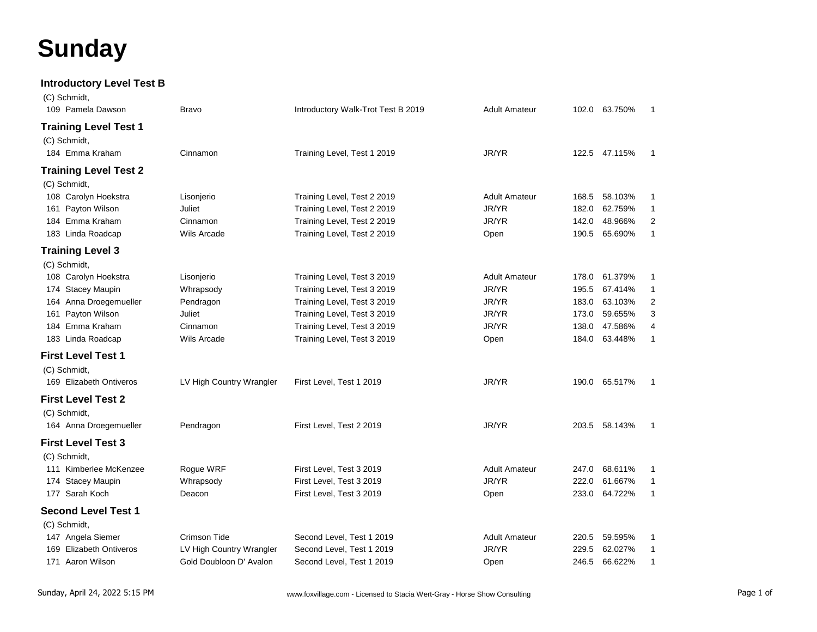# **Sunday**

**Introductory Level Test B**

| (C) Schmidt,                 |                          |                                    |                      |       |               |                |
|------------------------------|--------------------------|------------------------------------|----------------------|-------|---------------|----------------|
| 109 Pamela Dawson            | <b>Bravo</b>             | Introductory Walk-Trot Test B 2019 | <b>Adult Amateur</b> |       | 102.0 63.750% | $\overline{1}$ |
| <b>Training Level Test 1</b> |                          |                                    |                      |       |               |                |
| (C) Schmidt,                 |                          |                                    |                      |       |               |                |
| 184 Emma Kraham              | Cinnamon                 | Training Level, Test 1 2019        | JR/YR                |       | 122.5 47.115% | -1             |
| <b>Training Level Test 2</b> |                          |                                    |                      |       |               |                |
| (C) Schmidt,                 |                          |                                    |                      |       |               |                |
| 108 Carolyn Hoekstra         | Lisonjerio               | Training Level, Test 2 2019        | <b>Adult Amateur</b> | 168.5 | 58.103%       | 1              |
| 161 Payton Wilson            | Juliet                   | Training Level, Test 2 2019        | JR/YR                | 182.0 | 62.759%       | $\mathbf{1}$   |
| 184 Emma Kraham              | Cinnamon                 | Training Level, Test 2 2019        | JR/YR                | 142.0 | 48.966%       | 2              |
| 183 Linda Roadcap            | <b>Wils Arcade</b>       | Training Level, Test 2 2019        | Open                 | 190.5 | 65.690%       | $\mathbf{1}$   |
| <b>Training Level 3</b>      |                          |                                    |                      |       |               |                |
| (C) Schmidt,                 |                          |                                    |                      |       |               |                |
| 108 Carolyn Hoekstra         | Lisonjerio               | Training Level, Test 3 2019        | <b>Adult Amateur</b> | 178.0 | 61.379%       | $\overline{1}$ |
| 174 Stacey Maupin            | Whrapsody                | Training Level, Test 3 2019        | JR/YR                | 195.5 | 67.414%       | $\overline{1}$ |
| Anna Droegemueller<br>164    | Pendragon                | Training Level, Test 3 2019        | JR/YR                | 183.0 | 63.103%       | $\overline{c}$ |
| Payton Wilson<br>161         | Juliet                   | Training Level, Test 3 2019        | JR/YR                | 173.0 | 59.655%       | 3              |
| 184 Emma Kraham              | Cinnamon                 | Training Level, Test 3 2019        | JR/YR                | 138.0 | 47.586%       | 4              |
| 183 Linda Roadcap            | Wils Arcade              | Training Level, Test 3 2019        | Open                 | 184.0 | 63.448%       | $\mathbf{1}$   |
| <b>First Level Test 1</b>    |                          |                                    |                      |       |               |                |
| (C) Schmidt,                 |                          |                                    |                      |       |               |                |
| 169 Elizabeth Ontiveros      | LV High Country Wrangler | First Level, Test 1 2019           | JR/YR                |       | 190.0 65.517% | $\overline{1}$ |
| <b>First Level Test 2</b>    |                          |                                    |                      |       |               |                |
| (C) Schmidt,                 |                          |                                    |                      |       |               |                |
| 164 Anna Droegemueller       | Pendragon                | First Level, Test 2 2019           | JR/YR                | 203.5 | 58.143%       | $\mathbf{1}$   |
| <b>First Level Test 3</b>    |                          |                                    |                      |       |               |                |
| (C) Schmidt,                 |                          |                                    |                      |       |               |                |
| 111 Kimberlee McKenzee       | Rogue WRF                | First Level, Test 3 2019           | <b>Adult Amateur</b> | 247.0 | 68.611%       | $\mathbf 1$    |
| <b>Stacey Maupin</b><br>174  | Whrapsody                | First Level, Test 3 2019           | JR/YR                | 222.0 | 61.667%       | $\mathbf{1}$   |
| 177 Sarah Koch               | Deacon                   | First Level, Test 3 2019           | Open                 | 233.0 | 64.722%       | $\overline{1}$ |
| <b>Second Level Test 1</b>   |                          |                                    |                      |       |               |                |
| (C) Schmidt,                 |                          |                                    |                      |       |               |                |
| 147 Angela Siemer            | <b>Crimson Tide</b>      | Second Level, Test 1 2019          | <b>Adult Amateur</b> | 220.5 | 59.595%       | 1              |
| 169 Elizabeth Ontiveros      | LV High Country Wrangler | Second Level, Test 1 2019          | JR/YR                | 229.5 | 62.027%       | 1              |
| 171 Aaron Wilson             | Gold Doubloon D' Avalon  | Second Level, Test 1 2019          | Open                 | 246.5 | 66.622%       | $\mathbf{1}$   |